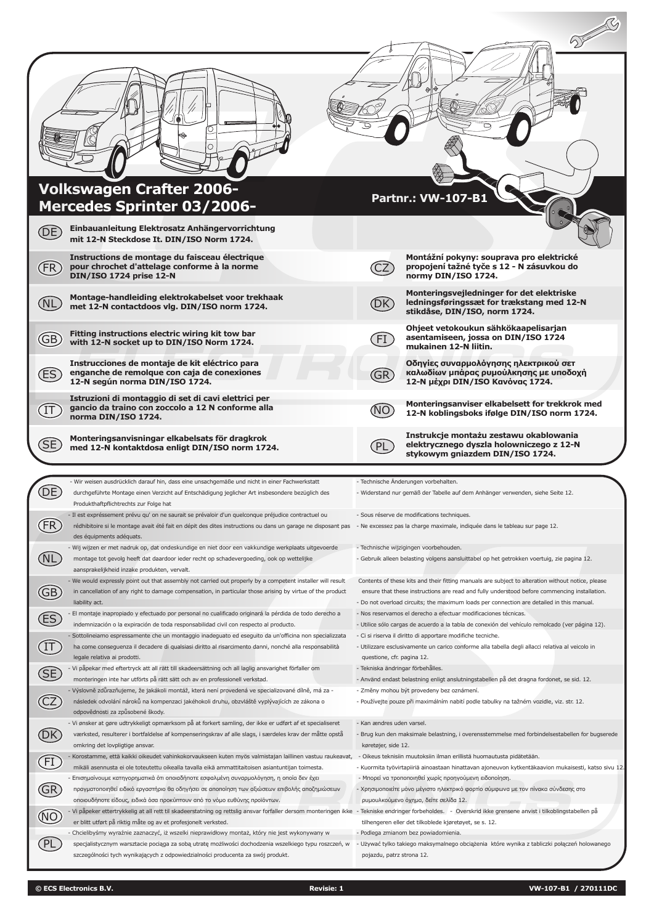| (DE)                   | <b>Volkswagen Crafter 2006-</b><br>Mercedes Sprinter 03/2006-<br>Einbauanleitung Elektrosatz Anhängervorrichtung<br>mit 12-N Steckdose It. DIN/ISO Norm 1724.                                                                                                                                                               |                                                  | <b>Partnr.: VW-107-B1</b>                                                                                                                                                                                                                 |
|------------------------|-----------------------------------------------------------------------------------------------------------------------------------------------------------------------------------------------------------------------------------------------------------------------------------------------------------------------------|--------------------------------------------------|-------------------------------------------------------------------------------------------------------------------------------------------------------------------------------------------------------------------------------------------|
| (FR                    | Instructions de montage du faisceau électrique<br>pour chrochet d'attelage conforme à la norme<br><b>DIN/ISO 1724 prise 12-N</b>                                                                                                                                                                                            |                                                  | Montážní pokyny: souprava pro elektrické<br>propojení tažné tyče s 12 - N zásuvkou do<br>normy DIN/ISO 1724.                                                                                                                              |
| NL)                    | Montage-handleiding elektrokabelset voor trekhaak<br>met 12-N contactdoos vlg. DIN/ISO norm 1724.                                                                                                                                                                                                                           | ФK)                                              | Monteringsvejledninger for det elektriske<br>ledningsføringssæt for trækstang med 12-N<br>stikdåse, DIN/ISO, norm 1724.                                                                                                                   |
| (GB)                   | Fitting instructions electric wiring kit tow bar<br>with 12-N socket up to DIN/ISO Norm 1724.                                                                                                                                                                                                                               | FI                                               | Ohjeet vetokoukun sähkökaapelisarjan<br>asentamiseen, jossa on DIN/ISO 1724<br>mukainen 12-N liitin.                                                                                                                                      |
| ΈS)                    | Instrucciones de montaje de kit eléctrico para<br>enganche de remolque con caja de conexiones<br>12-N según norma DIN/ISO 1724.                                                                                                                                                                                             | (GR)                                             | Οδηγίες συναρμολόγησης ηλεκτρικού σετ<br>καλωδίων μπάρας ρυμούλκησης με υποδοχή<br>12-Ν μέχρι DIN/ISO Κανόνας 1724.                                                                                                                       |
| 〔IT                    | Istruzioni di montaggio di set di cavi elettrici per<br>gancio da traino con zoccolo a 12 N conforme alla<br>norma DIN/ISO 1724.                                                                                                                                                                                            | NO.                                              | Monteringsanviser elkabelsett for trekkrok med<br>12-N koblingsboks ifølge DIN/ISO norm 1724.                                                                                                                                             |
|                        |                                                                                                                                                                                                                                                                                                                             |                                                  |                                                                                                                                                                                                                                           |
| (SE                    | Monteringsanvisningar elkabelsats för dragkrok<br>med 12-N kontaktdosa enligt DIN/ISO norm 1724.                                                                                                                                                                                                                            | $\overline{\mathsf{PL}}$                         | Instrukcje montażu zestawu okablowania<br>elektrycznego dyszla holowniczego z 12-N<br>stykowym gniazdem DIN/ISO 1724.                                                                                                                     |
|                        |                                                                                                                                                                                                                                                                                                                             |                                                  |                                                                                                                                                                                                                                           |
|                        | - Wir weisen ausdrücklich darauf hin, dass eine unsachgemäße und nicht in einer Fachwerkstatt<br>durchgeführte Montage einen Verzicht auf Entschädigung jeglicher Art insbesondere bezüglich des<br>Produkthaftpflichtrechts zur Folge hat                                                                                  |                                                  | - Technische Änderungen vorbehalten.<br>- Widerstand nur gemäß der Tabelle auf dem Anhänger verwenden, siehe Seite 12.                                                                                                                    |
|                        | - Il est expréssement prévu qu' on ne saurait se prévaloir d'un quelconque préjudice contractuel ou<br>rédhibitoire si le montage avait été fait en dépit des dites instructions ou dans un garage ne disposant pas - Ne excessez pas la charge maximale, indiquée dans le tableau sur page 12.<br>des équipments adéquats. |                                                  | - Sous réserve de modifications techniques.                                                                                                                                                                                               |
|                        | - Wij wijzen er met nadruk op, dat ondeskundige en niet door een vakkundige werkplaats uitgevoerde                                                                                                                                                                                                                          |                                                  | - Technische wijzigingen voorbehouden.                                                                                                                                                                                                    |
| (NL                    | montage tot gevolg heeft dat daardoor ieder recht op schadevergoeding, ook op wettelijke<br>aansprakelijkheid inzake produkten, vervalt.                                                                                                                                                                                    |                                                  | - Gebruik alleen belasting volgens aansluittabel op het getrokken voertuig, zie pagina 12.                                                                                                                                                |
|                        | - We would expressly point out that assembly not carried out properly by a competent installer will result<br>in cancellation of any right to damage compensation, in particular those arising by virtue of the product                                                                                                     |                                                  | Contents of these kits and their fitting manuals are subject to alteration without notice, please<br>ensure that these instructions are read and fully understood before commencing installation.                                         |
| $\bigoplus$            | liability act.                                                                                                                                                                                                                                                                                                              |                                                  | - Do not overload circuits; the maximum loads per connection are detailed in this manual.                                                                                                                                                 |
| ES                     | El montaje inapropiado y efectuado por personal no cualificado originará la pérdida de todo derecho a<br>indemnización o la expiración de toda responsabilidad civil con respecto al producto.                                                                                                                              |                                                  | - Nos reservamos el derecho a efectuar modificaciones técnicas.<br>- Utilice sólo cargas de acuerdo a la tabla de conexión del vehículo remolcado (ver página 12).                                                                        |
|                        | Sottolineiamo espressamente che un montaggio inadeguato ed eseguito da un'officina non specializzata                                                                                                                                                                                                                        |                                                  | - Ci si riserva il diritto di apportare modifiche tecniche.                                                                                                                                                                               |
| $\bigoplus$            | ha come conseguenza il decadere di qualsiasi diritto al risarcimento danni, nonché alla responsabilità<br>legale relativa ai prodotti.                                                                                                                                                                                      | questione, cfr. pagina 12.                       | - Utilizzare esclusivamente un carico conforme alla tabella degli allacci relativa al veicolo in                                                                                                                                          |
|                        | - Vi påpekar med eftertryck att all rätt till skadeersättning och all laglig ansvarighet förfaller om                                                                                                                                                                                                                       | - Tekniska ändringar förbehålles.                |                                                                                                                                                                                                                                           |
| Œ                      | monteringen inte har utförts på rätt sätt och av en professionell verkstad.<br>- Výslovně zdůrazňujeme, že jakákoli montáž, která není provedená ve specializované dílně, má za -                                                                                                                                           |                                                  | - Använd endast belastning enligt anslutningstabellen på det dragna fordonet, se sid. 12.<br>- Změny mohou být provedeny bez oznámení.                                                                                                    |
| $\widehat{\mathbb{C}}$ | následek odvolání nároků na kompenzaci jakéhokoli druhu, obzvláště vyplývajících ze zákona o<br>odpovědnosti za způsobené škody.                                                                                                                                                                                            |                                                  | - Používejte pouze při maximálním nabití podle tabulky na tažném vozidle, viz. str. 12.                                                                                                                                                   |
| <b>DK</b>              | - Vi ønsker at gøre udtrykkeligt opmærksom på at forkert samling, der ikke er udført af et specialiseret<br>værksted, resulterer i bortfaldelse af kompenseringskrav af alle slags, i særdeles krav der måtte opstå<br>omkring det lovpligtige ansvar.                                                                      | - Kan ændres uden varsel.<br>køretøjer, side 12. | - Brug kun den maksimale belastning, i overensstemmelse med forbindelsestabellen for bugserede                                                                                                                                            |
|                        | Korostamme, että kaikki oikeudet vahinkokorvaukseen kuten myös valmistajan laillinen vastuu raukeavat,                                                                                                                                                                                                                      |                                                  | - Oikeus teknisiin muutoksiin ilman erillistä huomautusta pidätetään.                                                                                                                                                                     |
| E                      | mikäli asennusta ei ole toteutettu oikealla tavalla eikä ammattitaitoisen asiantuntijan toimesta.<br>- Επισημαίνουμε κατηγορηματικά ότι οποιαδήποτε εσφαλμένη συναρμολόγηση, η οποία δεν έχει                                                                                                                               |                                                  | - Μπορεί να τροποποιηθεί χωρίς προηγούμενη ειδοποίηση.                                                                                                                                                                                    |
|                        | πραγματοποιηθεί ειδικό εργαστήριο θα οδηγήσει σε αποποίηση των αξιώσεων επιβολής αποζημιώσεων                                                                                                                                                                                                                               |                                                  | - Χρησιμοποιείτε μόνο μέγιστο ηλεκτρικό φορτίο σύμφωνα με τον πίνακα σύνδεσης στο                                                                                                                                                         |
| GR                     | οποιουδήποτε είδους, ειδικά όσα προκύπτουν από το νόμο ευθύνης προϊόντων.<br>Vi påpeker ettertrykkelig at all rett til skadeerstatning og rettslig ansvar forfaller dersom monteringen ikke - Tekniske endringer forbeholdes. - Overskrid ikke grensene anvist i tilkoblingstabellen på                                     |                                                  | ρυμουλκούμενο όχημα, δείτε σελίδα 12.                                                                                                                                                                                                     |
| $\circledR$            | er blitt utført på riktig måte og av et profesjonelt verksted.                                                                                                                                                                                                                                                              |                                                  | tilhengeren eller det tilkoblede kjøretøyet, se s. 12.                                                                                                                                                                                    |
| (PL                    | Chcielibyśmy wyraźnie zaznaczyć, iż wszelki nieprawidłowy montaż, który nie jest wykonywany w<br>specjalistycznym warsztacie pociąga za sobą utratę możliwości dochodzenia wszelkiego typu roszczeń, w                                                                                                                      |                                                  | - Kuormita työvirtapiiriä ainoastaan hinattavan ajoneuvon kytkentäkaavion mukaisesti, katso sivu 12.<br>- Podlega zmianom bez powiadomienia.<br>Używać tylko takiego maksymalnego obciążenia które wynika z tabliczki połączeń holowanego |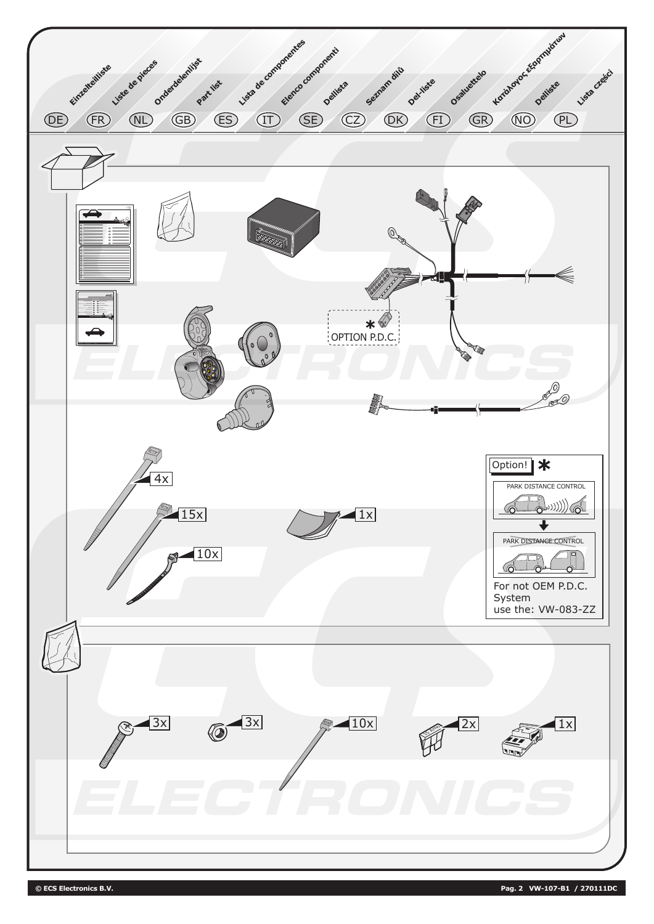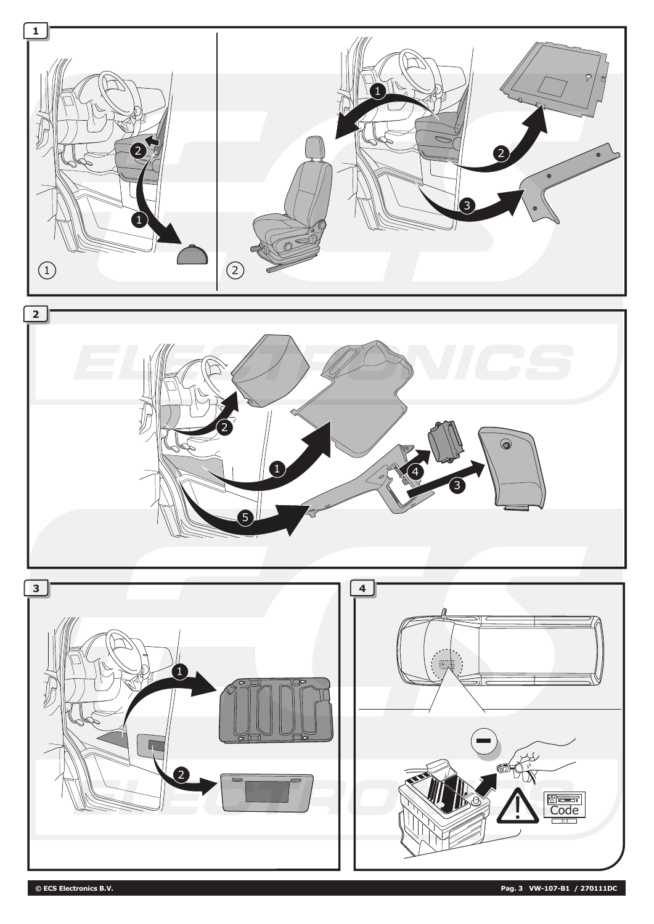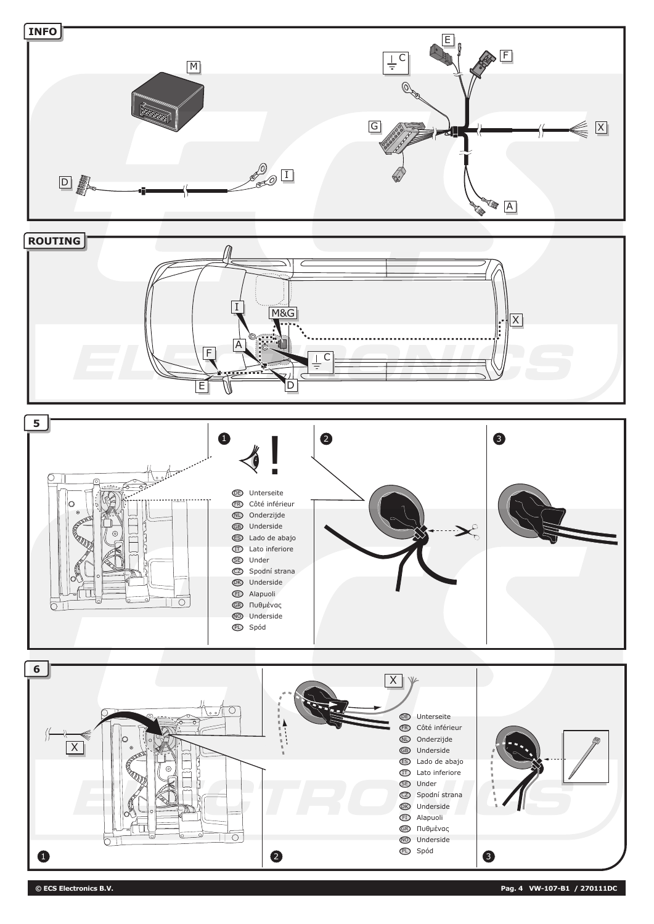

**© ECS Electronics B.V. Pag. 4 VW-107-B1 / 270111DC**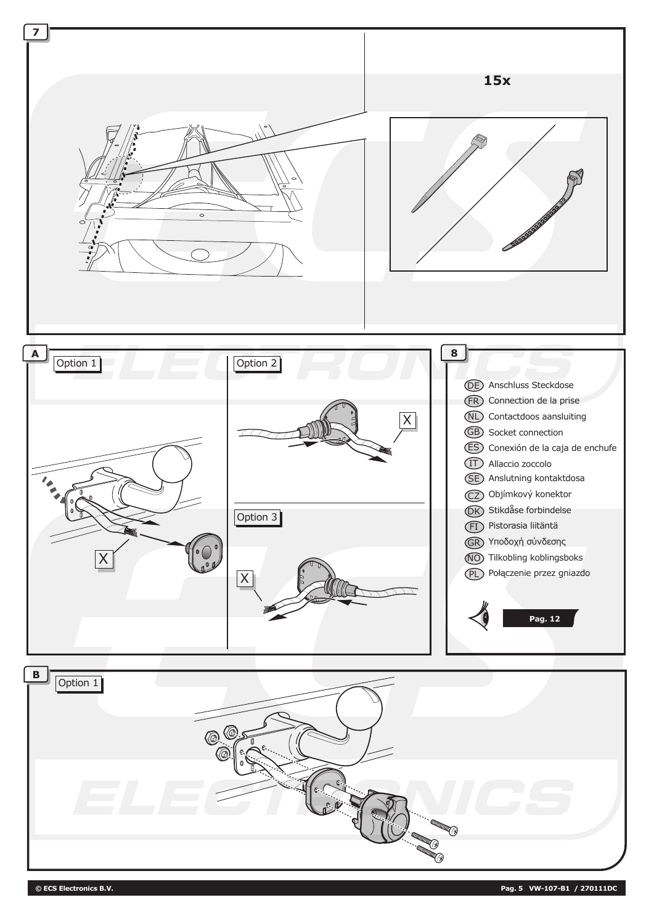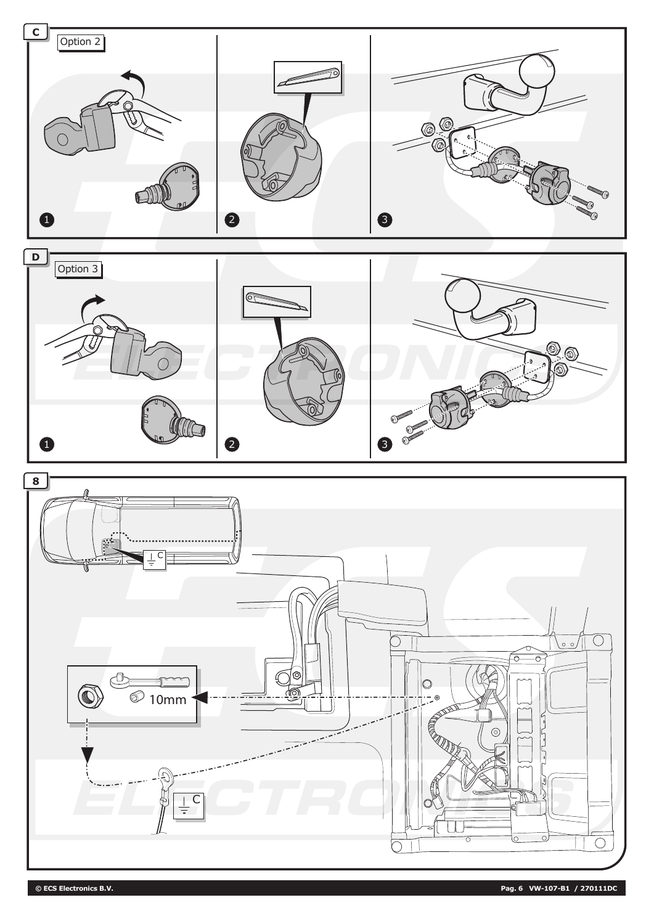







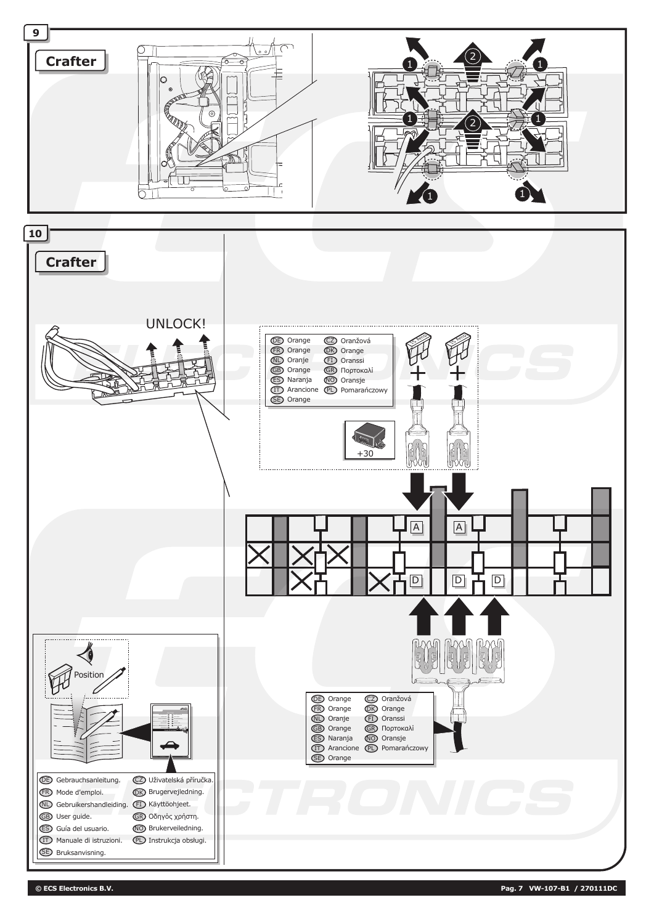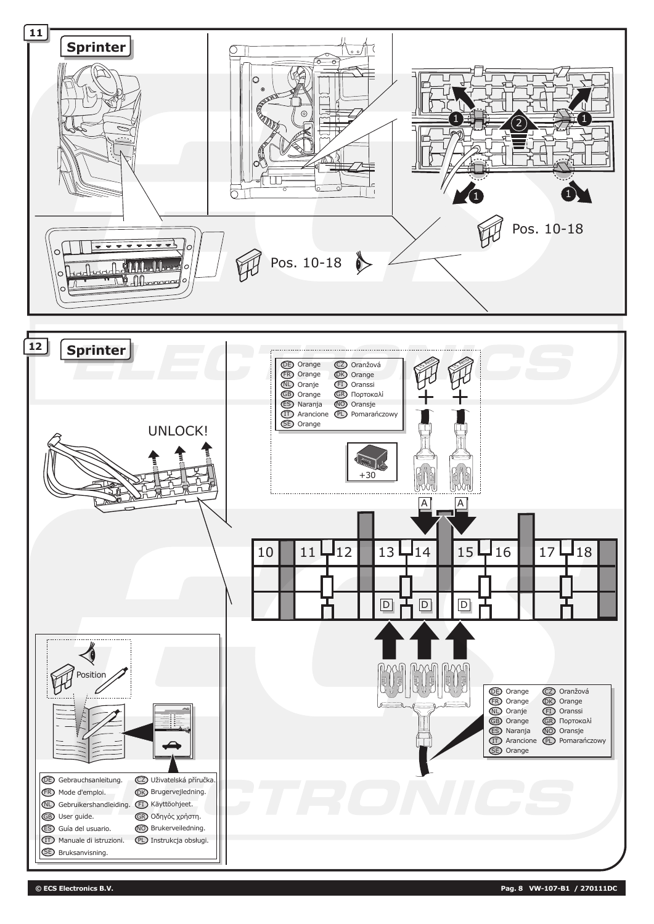

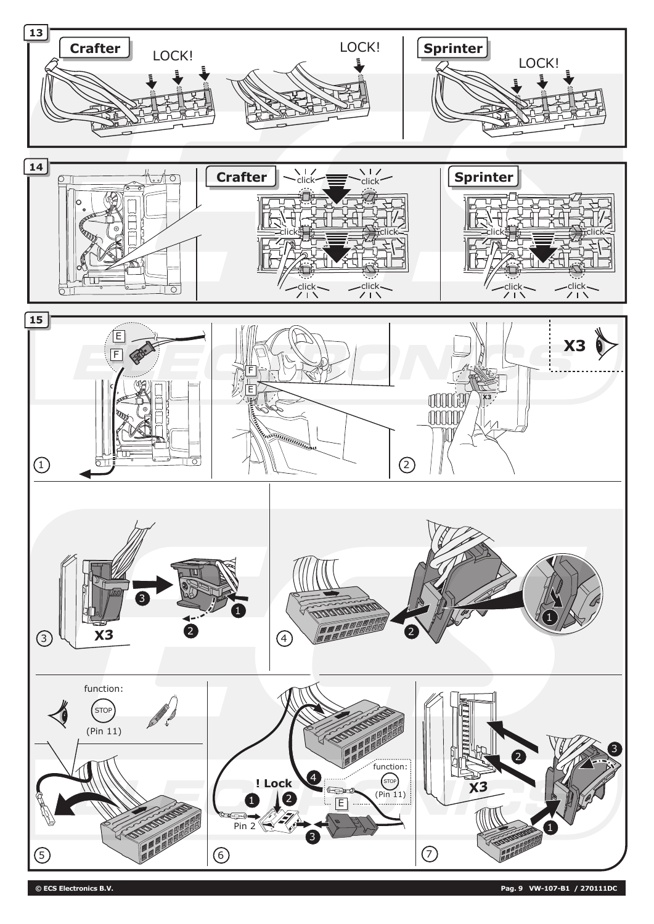

**© ECS Electronics B.V. Pag. 9 VW-107-B1 / 270111DC**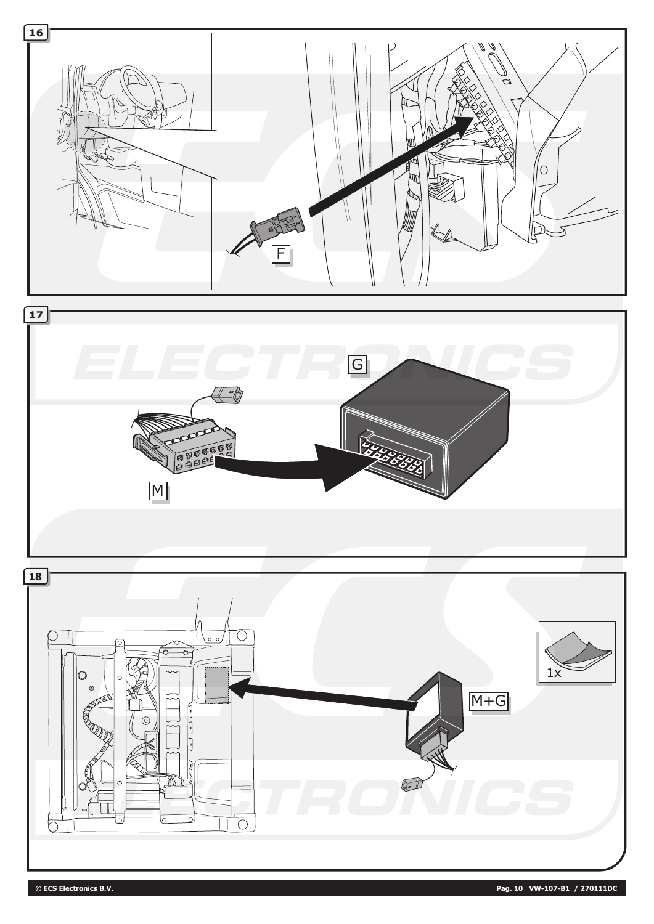

**© ECS Electronics B.V. Pag. 10 VW-107-B1 / 270111DC**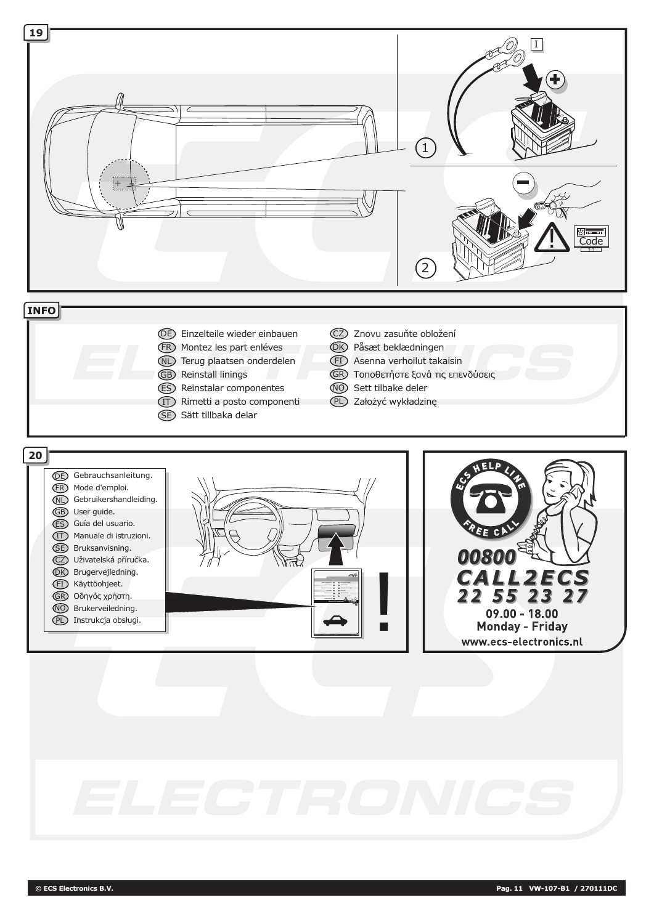